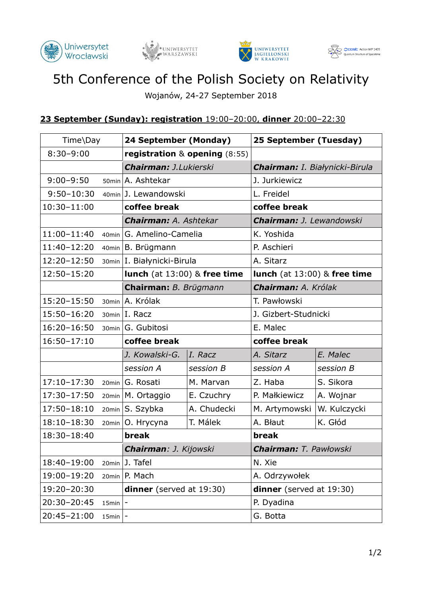







## 5th Conference of the Polish Society on Relativity

Wojanów, 24-27 September 2018

## **23 September (Sunday): registration** 19:00–20:00, **dinner** 20:00–22:30

| Time\Day             |       | 24 September (Monday)             |             | 25 September (Tuesday)         |              |
|----------------------|-------|-----------------------------------|-------------|--------------------------------|--------------|
| $8:30 - 9:00$        |       | registration $&$ opening $(8:55)$ |             |                                |              |
|                      |       | Chairman: J.Lukierski             |             | Chairman: I. Białynicki-Birula |              |
| $9:00 - 9:50$        |       | 50min A. Ashtekar                 |             | J. Jurkiewicz                  |              |
| $9:50 - 10:30$       |       | 40min J. Lewandowski              |             | L. Freidel                     |              |
| $10:30 - 11:00$      |       | coffee break                      |             | coffee break                   |              |
|                      |       | <b>Chairman: A. Ashtekar</b>      |             | Chairman: J. Lewandowski       |              |
| 11:00-11:40          | 40min | G. Amelino-Camelia                |             | K. Yoshida                     |              |
| 11:40-12:20          | 40min | B. Brügmann                       |             | P. Aschieri                    |              |
| 12:20-12:50          | 30min | I. Białynicki-Birula              |             | A. Sitarz                      |              |
| 12:50-15:20          |       | lunch (at 13:00) & free time      |             | lunch (at 13:00) & free time   |              |
|                      |       | Chairman: B. Brügmann             |             | Chairman: A. Królak            |              |
| 15:20-15:50          | 30min | A. Królak                         |             | T. Pawłowski                   |              |
| 15:50-16:20          |       | 30min I. Racz                     |             | J. Gizbert-Studnicki           |              |
| $16:20 - 16:50$      | 30min | G. Gubitosi                       |             | E. Malec                       |              |
| $16:50 - 17:10$      |       | coffee break                      |             | coffee break                   |              |
|                      |       | J. Kowalski-G.                    | I. Racz     | A. Sitarz                      | E. Malec     |
|                      |       | session A                         | session B   | session A                      | session B    |
| $17:10 - 17:30$      | 20min | G. Rosati                         | M. Marvan   | Z. Haba                        | S. Sikora    |
| 17:30-17:50          | 20min | M. Ortaggio                       | E. Czuchry  | P. Małkiewicz                  | A. Wojnar    |
| 17:50-18:10          | 20min | S. Szybka                         | A. Chudecki | M. Artymowski                  | W. Kulczycki |
| $18:10 - 18:30$      | 20min | O. Hrycyna                        | T. Málek    | A. Błaut                       | K. Głód      |
| 18:30-18:40          |       | break                             |             | break                          |              |
|                      |       | Chairman: J. Kijowski             |             | <b>Chairman:</b> T. Pawłowski  |              |
| 18:40-19:00          | 20min | J. Tafel                          |             | N. Xie                         |              |
| 19:00-19:20          | 20min | P. Mach                           |             | A. Odrzywołek                  |              |
| 19:20-20:30          |       | dinner (served at 19:30)          |             | dinner (served at 19:30)       |              |
| 20:30-20:45<br>15min |       |                                   |             | P. Dyadina                     |              |
| 20:45-21:00          | 15min |                                   |             | G. Botta                       |              |